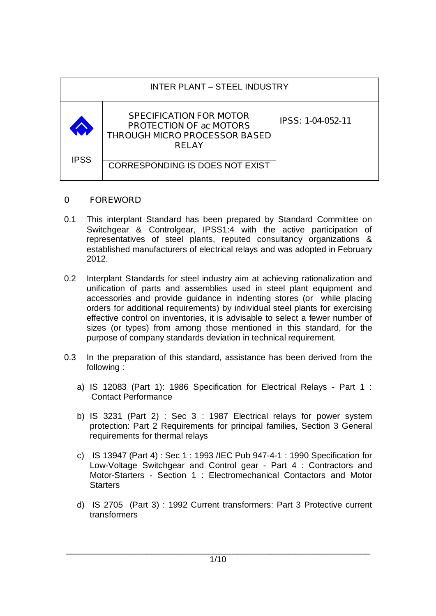| <b>INTER PLANT - STEEL INDUSTRY</b> |                                                                                                                          |                          |  |
|-------------------------------------|--------------------------------------------------------------------------------------------------------------------------|--------------------------|--|
|                                     | <b>SPECIFICATION FOR MOTOR</b><br><b>PROTECTION OF ac MOTORS</b><br><b>THROUGH MICRO PROCESSOR BASED</b><br><b>RELAY</b> | <b>IPSS: 1-04-052-11</b> |  |
| <b>IPSS</b>                         | <b>CORRESPONDING IS DOES NOT EXIST</b>                                                                                   |                          |  |

### **0 FOREWORD**

- 0.1 This interplant Standard has been prepared by Standard Committee on Switchgear & Controlgear, IPSS1:4 with the active participation of representatives of steel plants, reputed consultancy organizations & established manufacturers of electrical relays and was adopted in February 2012.
- 0.2 Interplant Standards for steel industry aim at achieving rationalization and unification of parts and assemblies used in steel plant equipment and accessories and provide guidance in indenting stores (or while placing orders for additional requirements) by individual steel plants for exercising effective control on inventories, it is advisable to select a fewer number of sizes (or types) from among those mentioned in this standard, for the purpose of company standards deviation in technical requirement.
- 0.3 In the preparation of this standard, assistance has been derived from the following :
	- a) IS 12083 (Part 1): 1986 Specification for Electrical Relays Part 1 : Contact Performance
	- b) IS 3231 (Part 2) : Sec 3 : 1987 Electrical relays for power system protection: Part 2 Requirements for principal families, Section 3 General requirements for thermal relays
	- c) IS 13947 (Part 4) : Sec 1 : 1993 /IEC Pub 947-4-1 : 1990 Specification for Low-Voltage Switchgear and Control gear - Part 4 : Contractors and Motor-Starters - Section 1 : Electromechanical Contactors and Motor **Starters**
	- d) IS 2705 (Part 3) : 1992 Current transformers: Part 3 Protective current transformers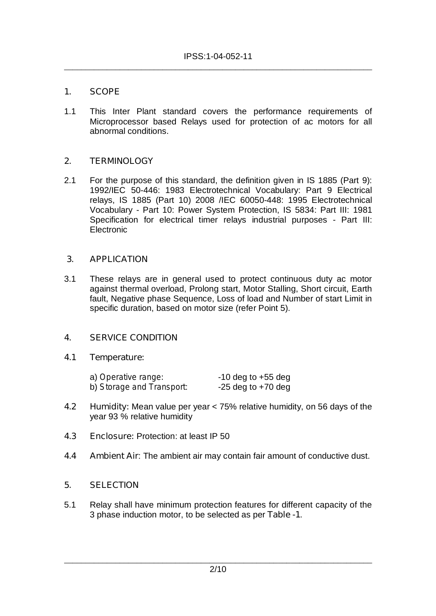# **1. SCOPE**

1.1 This Inter Plant standard covers the performance requirements of Microprocessor based Relays used for protection of ac motors for all abnormal conditions.

## **2. TERMINOLOGY**

2.1 For the purpose of this standard, the definition given in IS 1885 (Part 9): 1992/IEC 50-446: 1983 Electrotechnical Vocabulary: Part 9 Electrical relays, IS 1885 (Part 10) 2008 /IEC 60050-448: 1995 Electrotechnical Vocabulary - Part 10: Power System Protection, IS 5834: Part III: 1981 Specification for electrical timer relays industrial purposes - Part III: Electronic

## **3. APPLICATION**

3.1 These relays are in general used to protect continuous duty ac motor against thermal overload, Prolong start, Motor Stalling, Short circuit, Earth fault, Negative phase Sequence, Loss of load and Number of start Limit in specific duration, based on motor size (refer Point 5).

### **4. SERVICE CONDITION**

### **4.1 Temperature:**

| a) Operative range:       | $-10$ deg to $+55$ deg |
|---------------------------|------------------------|
| b) Storage and Transport. | $-25$ deg to $+70$ deg |

- **4.2 Humidity:** Mean value per year < 75% relative humidity, on 56 days of the year 93 % relative humidity
- **4.3 Enclosure:** Protection: at least IP 50
- **4.4 Ambient Air**: The ambient air may contain fair amount of conductive dust.

### **5. SELECTION**

5.1 Relay shall have minimum protection features for different capacity of the 3 phase induction motor, to be selected as per **Table -1**.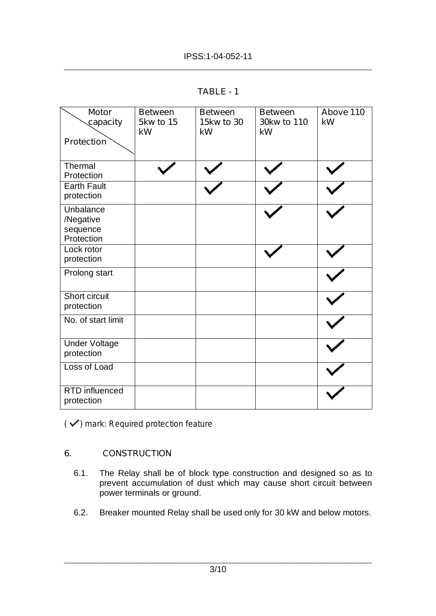| R.<br>I<br>AD. |  |
|----------------|--|
|----------------|--|

| <b>Motor</b><br>capacity                         | <b>Between</b><br><b>5kw to 15</b><br>kW | <b>Between</b><br>15kw to 30<br>kW | <b>Between</b><br>30kw to 110<br>kW | Above 110<br>kW |
|--------------------------------------------------|------------------------------------------|------------------------------------|-------------------------------------|-----------------|
| <b>Protection</b>                                |                                          |                                    |                                     |                 |
| Thermal<br>Protection                            |                                          |                                    |                                     |                 |
| <b>Earth Fault</b><br>protection                 |                                          |                                    |                                     |                 |
| Unbalance<br>/Negative<br>sequence<br>Protection |                                          |                                    |                                     |                 |
| Lock rotor<br>protection                         |                                          |                                    |                                     |                 |
| Prolong start                                    |                                          |                                    |                                     |                 |
| Short circuit<br>protection                      |                                          |                                    |                                     |                 |
| No. of start limit                               |                                          |                                    |                                     |                 |
| <b>Under Voltage</b><br>protection               |                                          |                                    |                                     |                 |
| Loss of Load                                     |                                          |                                    |                                     |                 |
| <b>RTD</b> influenced<br>protection              |                                          |                                    |                                     |                 |

*<sup>(</sup> ) mark: Required protection feature* 

# **6. CONSTRUCTION**

- 6.1. The Relay shall be of block type construction and designed so as to prevent accumulation of dust which may cause short circuit between power terminals or ground.
- 6.2. Breaker mounted Relay shall be used only for 30 kW and below motors.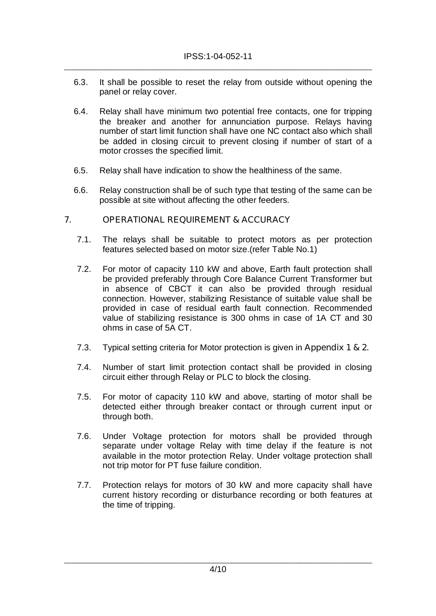- 6.3. It shall be possible to reset the relay from outside without opening the panel or relay cover.
- 6.4. Relay shall have minimum two potential free contacts, one for tripping the breaker and another for annunciation purpose. Relays having number of start limit function shall have one NC contact also which shall be added in closing circuit to prevent closing if number of start of a motor crosses the specified limit.
- 6.5. Relay shall have indication to show the healthiness of the same.
- 6.6. Relay construction shall be of such type that testing of the same can be possible at site without affecting the other feeders.

### **7. OPERATIONAL REQUIREMENT & ACCURACY**

- 7.1. The relays shall be suitable to protect motors as per protection features selected based on motor size.(refer Table No.1)
- 7.2. For motor of capacity 110 kW and above, Earth fault protection shall be provided preferably through Core Balance Current Transformer but in absence of CBCT it can also be provided through residual connection. However, stabilizing Resistance of suitable value shall be provided in case of residual earth fault connection. Recommended value of stabilizing resistance is 300 ohms in case of 1A CT and 30 ohms in case of 5A CT.
- 7.3. Typical setting criteria for Motor protection is given in **Appendix 1 & 2.**
- 7.4. Number of start limit protection contact shall be provided in closing circuit either through Relay or PLC to block the closing.
- 7.5. For motor of capacity 110 kW and above, starting of motor shall be detected either through breaker contact or through current input or through both.
- 7.6. Under Voltage protection for motors shall be provided through separate under voltage Relay with time delay if the feature is not available in the motor protection Relay. Under voltage protection shall not trip motor for PT fuse failure condition.
- 7.7. Protection relays for motors of 30 kW and more capacity shall have current history recording or disturbance recording or both features at the time of tripping.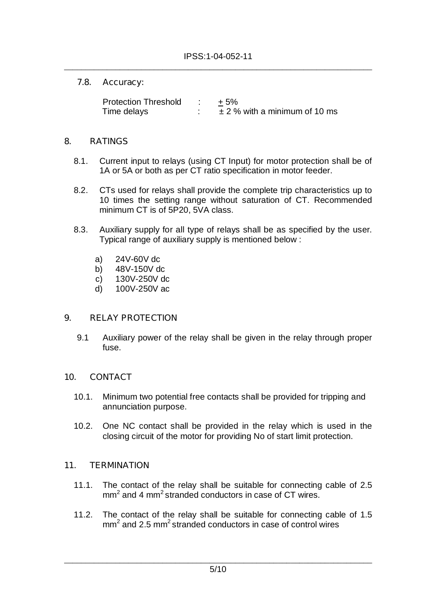### **7.8. Accuracy:**

Protection Threshold : +5% Time delays  $\therefore$   $\pm 2$  % with a minimum of 10 ms

## **8. RATINGS**

- 8.1. Current input to relays (using CT Input) for motor protection shall be of 1A or 5A or both as per CT ratio specification in motor feeder.
- 8.2. CTs used for relays shall provide the complete trip characteristics up to 10 times the setting range without saturation of CT. Recommended minimum CT is of 5P20, 5VA class.
- 8.3. Auxiliary supply for all type of relays shall be as specified by the user. Typical range of auxiliary supply is mentioned below :
	- a) 24V-60V dc
	- b) 48V-150V dc
	- c) 130V-250V dc
	- d) 100V-250V ac

# **9. RELAY PROTECTION**

9.1 Auxiliary power of the relay shall be given in the relay through proper fuse.

### **10. CONTACT**

- 10.1. Minimum two potential free contacts shall be provided for tripping and annunciation purpose.
- 10.2. One NC contact shall be provided in the relay which is used in the closing circuit of the motor for providing No of start limit protection.

### **11. TERMINATION**

- 11.1. The contact of the relay shall be suitable for connecting cable of 2.5 mm<sup>2</sup> and 4 mm<sup>2</sup> stranded conductors in case of CT wires.
- 11.2. The contact of the relay shall be suitable for connecting cable of 1.5 mm<sup>2</sup> and 2.5 mm<sup>2</sup> stranded conductors in case of control wires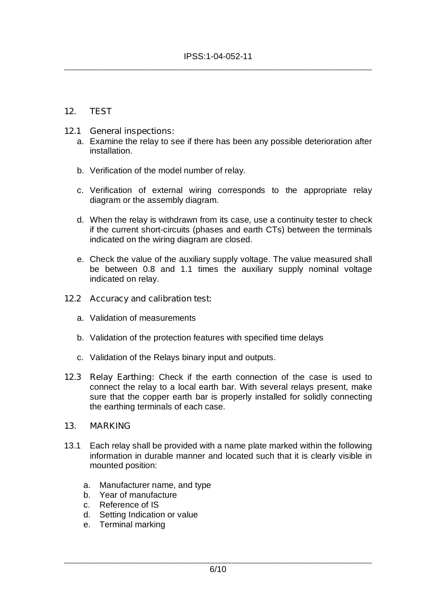## **12. TEST**

### **12.1 General inspections:**

- a. Examine the relay to see if there has been any possible deterioration after installation.
- b. Verification of the model number of relay.
- c. Verification of external wiring corresponds to the appropriate relay diagram or the assembly diagram.
- d. When the relay is withdrawn from its case, use a continuity tester to check if the current short-circuits (phases and earth CTs) between the terminals indicated on the wiring diagram are closed.
- e. Check the value of the auxiliary supply voltage. The value measured shall be between 0.8 and 1.1 times the auxiliary supply nominal voltage indicated on relay.

#### **12.2 Accuracy and calibration test:**

- a. Validation of measurements
- b. Validation of the protection features with specified time delays
- c. Validation of the Relays binary input and outputs.
- **12.3 Relay Earthing:** Check if the earth connection of the case is used to connect the relay to a local earth bar. With several relays present, make sure that the copper earth bar is properly installed for solidly connecting the earthing terminals of each case.

### **13. MARKING**

- 13.1 Each relay shall be provided with a name plate marked within the following information in durable manner and located such that it is clearly visible in mounted position:
	- a. Manufacturer name, and type
	- b. Year of manufacture
	- c. Reference of IS
	- d. Setting Indication or value
	- e. Terminal marking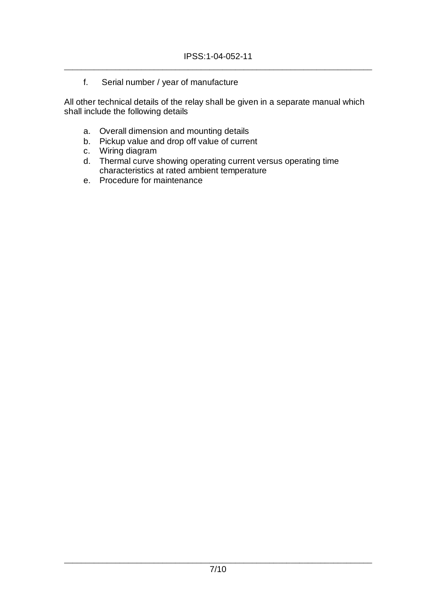f. Serial number / year of manufacture

All other technical details of the relay shall be given in a separate manual which shall include the following details

- a. Overall dimension and mounting details
- b. Pickup value and drop off value of current
- c. Wiring diagram
- d. Thermal curve showing operating current versus operating time characteristics at rated ambient temperature
- e. Procedure for maintenance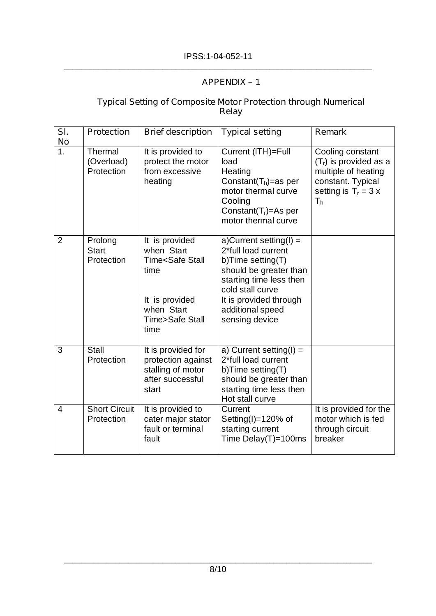# **APPENDIX – 1**

### **Typical Setting of Composite Motor Protection through Numerical Relay**

| SI.<br><b>No</b>         | <b>Protection</b>                     | <b>Brief description</b>                                                                                                                    | <b>Typical setting</b>                                                                                                                                                                                      | <b>Remark</b>                                                                                                                       |
|--------------------------|---------------------------------------|---------------------------------------------------------------------------------------------------------------------------------------------|-------------------------------------------------------------------------------------------------------------------------------------------------------------------------------------------------------------|-------------------------------------------------------------------------------------------------------------------------------------|
| $\overline{1}$ .         | Thermal<br>(Overload)<br>Protection   | It is provided to<br>protect the motor<br>from excessive<br>heating                                                                         | Current (ITH)=Full<br>load<br>Heating<br>Constant( $T_h$ )=as per<br>motor thermal curve<br>Cooling<br>Constant( $Tr$ )=As per<br>motor thermal curve                                                       | Cooling constant<br>$(Tr)$ is provided as a<br>multiple of heating<br>constant. Typical<br>setting is $T_r = 3 x$<br>T <sub>h</sub> |
| $\overline{2}$           | Prolong<br><b>Start</b><br>Protection | It is provided<br>when Start<br>Time <safe stall<br="">time<br/>It is provided<br/>when Start<br/><b>Time&gt;Safe Stall</b><br/>time</safe> | a)Current setting(I) =<br>2*full load current<br>b)Time setting(T)<br>should be greater than<br>starting time less then<br>cold stall curve<br>It is provided through<br>additional speed<br>sensing device |                                                                                                                                     |
| 3                        | <b>Stall</b><br>Protection            | It is provided for<br>protection against<br>stalling of motor<br>after successful<br>start                                                  | a) Current setting( $I$ ) =<br>2*full load current<br>b)Time setting(T)<br>should be greater than<br>starting time less then<br>Hot stall curve                                                             |                                                                                                                                     |
| $\overline{\mathcal{A}}$ | <b>Short Circuit</b><br>Protection    | It is provided to<br>cater major stator<br>fault or terminal<br>fault                                                                       | Current<br>Setting(I)= $120\%$ of<br>starting current<br>Time Delay(T)=100ms                                                                                                                                | It is provided for the<br>motor which is fed<br>through circuit<br>breaker                                                          |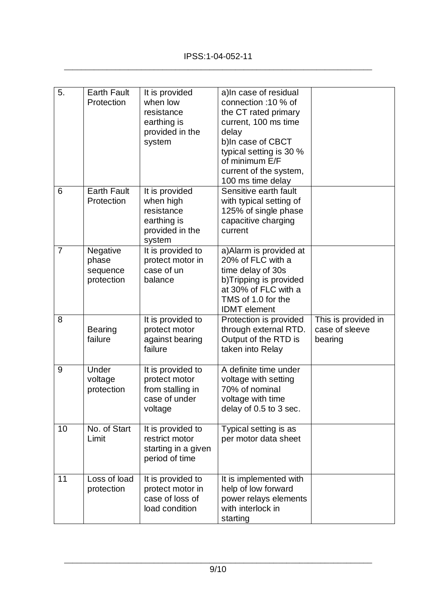| 5.             | <b>Earth Fault</b><br>Protection            | It is provided<br>when low<br>resistance<br>earthing is<br>provided in the<br>system  | a)In case of residual<br>connection :10 % of<br>the CT rated primary<br>current, 100 ms time<br>delay<br>b)In case of CBCT<br>typical setting is 30 %<br>of minimum E/F<br>current of the system,<br>100 ms time delay |                                                  |
|----------------|---------------------------------------------|---------------------------------------------------------------------------------------|------------------------------------------------------------------------------------------------------------------------------------------------------------------------------------------------------------------------|--------------------------------------------------|
| 6              | <b>Earth Fault</b><br>Protection            | It is provided<br>when high<br>resistance<br>earthing is<br>provided in the<br>system | Sensitive earth fault<br>with typical setting of<br>125% of single phase<br>capacitive charging<br>current                                                                                                             |                                                  |
| $\overline{7}$ | Negative<br>phase<br>sequence<br>protection | It is provided to<br>protect motor in<br>case of un<br>balance                        | a) Alarm is provided at<br>20% of FLC with a<br>time delay of 30s<br>b)Tripping is provided<br>at 30% of FLC with a<br>TMS of 1.0 for the<br><b>IDMT</b> element                                                       |                                                  |
| 8              | <b>Bearing</b><br>failure                   | It is provided to<br>protect motor<br>against bearing<br>failure                      | Protection is provided<br>through external RTD.<br>Output of the RTD is<br>taken into Relay                                                                                                                            | This is provided in<br>case of sleeve<br>bearing |
| 9              | Under<br>voltage<br>protection              | It is provided to<br>protect motor<br>from stalling in<br>case of under<br>voltage    | A definite time under<br>voltage with setting<br>70% of nominal<br>voltage with time<br>delay of 0.5 to 3 sec.                                                                                                         |                                                  |
| 10             | No. of Start<br>Limit                       | It is provided to<br>restrict motor<br>starting in a given<br>period of time          | Typical setting is as<br>per motor data sheet                                                                                                                                                                          |                                                  |
| 11             | Loss of load<br>protection                  | It is provided to<br>protect motor in<br>case of loss of<br>load condition            | It is implemented with<br>help of low forward<br>power relays elements<br>with interlock in<br>starting                                                                                                                |                                                  |